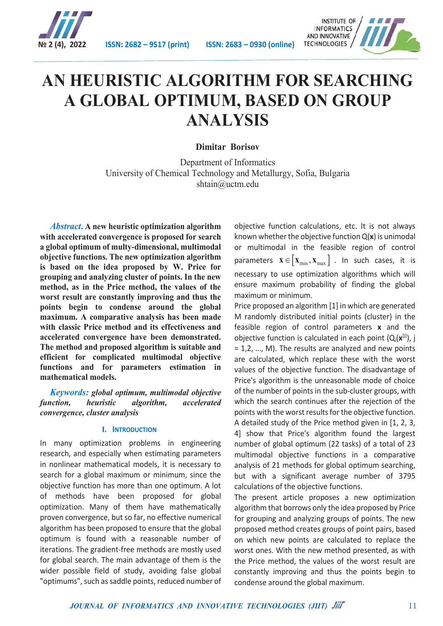



# **AN HEURISTIC ALGORITHM FOR SEARCHING A GLOBAL OPTIMUM, BASED ON GROUP ANALYSIS**

**Dimitar Borisov**

Department of Informatics University of Chemical Technology and Metallurgy, Sofia, Bulgaria shtain@uctm.edu

*Abstract***. A new heuristic optimization algorithm with accelerated convergence is proposed for search a global optimum of multy-dimensional, multimodal objective functions. The new optimization algorithm is based on the idea proposed by W. Price for grouping and analyzing cluster of points. In the new method, as in the Price method, the values of the worst result are constantly improving and thus the points begin to condense around the global maximum. A comparative analysis has been made with classic Price method and its effectiveness and accelerated convergence have been demonstrated. The method and proposed algorithm is suitable and efficient for complicated multimodal objective functions and for parameters estimation in mathematical models.**

*Keywords: global optimum, multimodal objective function, heuristic algorithm, accelerated convergence, cluster analysis*

#### **I. INTRODUCTION**

In many optimization problems in engineering research, and especially when estimating parameters in nonlinear mathematical models, it is necessary to search for a global maximum or minimum, since the objective function has more than one optimum. A lot of methods have been proposed for global optimization. Many of them have mathematically proven convergence, but so far, no effective numerical algorithm has been proposed to ensure that the global optimum is found with a reasonable number of iterations. The gradient-free methods are mostly used for global search. The main advantage of them is the wider possible field of study, avoiding false global "optimums", such as saddle points, reduced number of

objective function calculations, etc. It is not always known whether the objective function Q(**x**) is unimodal or multimodal in the feasible region of control parameters  $\mathbf{x} \in [\mathbf{x}_{\min}, \mathbf{x}_{\max}]$  . In such cases, it is necessary to use optimization algorithms which will ensure maximum probability of finding the global maximum or minimum.

Price proposed an algorithm [1] in which are generated M randomly distributed initial points (cluster) in the feasible region of control parameters **x** and the objective function is calculated in each point  $(Q_i(x^{(j)}), i)$ = 1,2, …, M). The results are analyzed and new points are calculated, which replace these with the worst values of the objective function. The disadvantage of Price's algorithm is the unreasonable mode of choice of the number of points in the sub-cluster groups, with which the search continues after the rejection of the points with the worst results for the objective function. A detailed study of the Price method given in [1, 2, 3, 4] show that Price's algorithm found the largest number of global optimum (22 tasks) of a total of 23 multimodal objective functions in a comparative analysis of 21 methods for global optimum searching, but with a significant average number of 3795 calculations of the objective functions.

The present article proposes a new optimization algorithm that borrows only the idea proposed by Price for grouping and analyzing groups of points. The new proposed method creates groups of point pairs, based on which new points are calculated to replace the worst ones. With the new method presented, as with the Price method, the values of the worst result are constantly improving and thus the points begin to condense around the global maximum.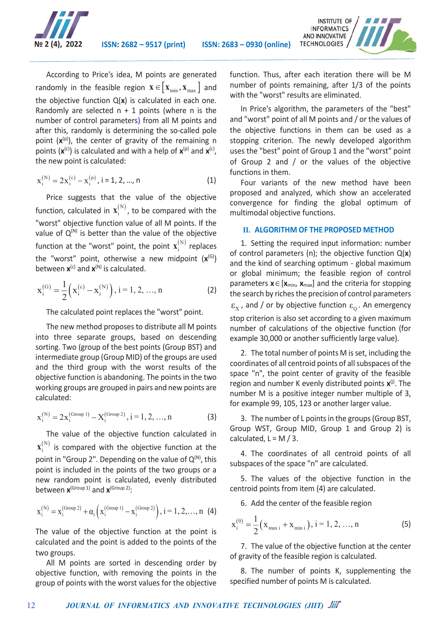

According to Price's idea, M points are generated randomly in the feasible region  $\mathbf{x} \in [\mathbf{x}_{\min}, \mathbf{x}_{\max}]$  and the objective function Q(**x**) is calculated in each one. Randomly are selected  $n + 1$  points (where n is the number of control parameters) from all M points and after this, randomly is determining the so-called pole point  $(x^{(p)})$ , the center of gravity of the remaining n points  $(x^{(c)})$  is calculated and with a help of  $x^{(p)}$  and  $x^{(c)}$ , the new point is calculated:

$$
x_i^{(N)} = 2x_i^{(c)} - x_i^{(p)}, i = 1, 2, ..., n
$$
 (1)

Price suggests that the value of the objective function, calculated in  $\mathbf{x}_i^{(N)}$ , to be compared with the "worst" objective function value of all M points. If the value of  $Q^{(N)}$  is better than the value of the objective function at the "worst" point, the point  $\mathbf{x}_i^{(N)}$  replaces the "worst" point, otherwise a new midpoint (**x**(G)) between  $\mathbf{x}^{(c)}$  and  $\mathbf{x}^{(N)}$  is calculated.

$$
\mathbf{x}_{i}^{(G)} = \frac{1}{2} \left( \mathbf{x}_{i}^{(c)} - \mathbf{x}_{i}^{(N)} \right), i = 1, 2, ..., n
$$
 (2)

The calculated point replaces the "worst" point.

The new method proposes to distribute all M points into three separate groups, based on descending sorting. Two (group of the best points (Group BST) and intermediate group (Group MID) of the groups are used and the third group with the worst results of the objective function is abandoning. The points in the two working groups are grouped in pairs and new points are calculated:

$$
x_i^{(N)} = 2x_i^{(\text{Group 1})} - X_i^{(\text{Group 2})}, i = 1, 2, ..., n
$$
 (3)

The value of the objective function calculated in  $\mathbf{x}^{(\textnormal{N})}_{\textnormal{i}}$  is compared with the objective function at the point in "Group 2". Depending on the value of  $Q^{(N)}$ , this point is included in the points of the two groups or a new random point is calculated, evenly distributed between **x**(Group 1) and **x**(Group 2):

$$
x_i^{(N)}=x_i^{\text{(Group 2)}}+\alpha_i\Big(x_i^{\text{(Group 1)}}-x_i^{\text{(Group 2)}}\Big),\,i=1,2,\ldots,n\;\;\text{(4)}
$$

The value of the objective function at the point is calculated and the point is added to the points of the two groups.

All M points are sorted in descending order by objective function, with removing the points in the group of points with the worst values for the objective

function. Thus, after each iteration there will be M number of points remaining, after 1/3 of the points with the "worst" results are eliminated.

In Price's algorithm, the parameters of the "best" and "worst" point of all M points and / or the values of the objective functions in them can be used as a stopping criterion. The newly developed algorithm uses the "best" point of Group 1 and the "worst" point of Group 2 and / or the values of the objective functions in them.

Four variants of the new method have been proposed and analyzed, which show an accelerated convergence for finding the global optimum of multimodal objective functions.

#### **II. ALGORITHM OF THE PROPOSED METHOD**

1. Setting the required input information: number of control parameters (n); the objective function Q(**x**) and the kind of searching optimum - global maximum or global minimum; the feasible region of control parameters  $x \in [x_{\text{min}}, x_{\text{max}}]$  and the criteria for stopping the search by riches the precision of control parameters  $\epsilon_{\rm x}$ , and / or by objective function  $\epsilon_{\rm o}$ . An emergency stop criterion is also set according to a given maximum number of calculations of the objective function (for example 30,000 or another sufficiently large value).

2. The total number of points M is set, including the coordinates of all centroid points of all subspaces of the space "n", the point center of gravity of the feasible region and number K evenly distributed points **x**(j). The number M is a positive integer number multiple of 3, for example 99, 105, 123 or another larger value.

3. The number of L points in the groups (Group BST, Group WST, Group MID, Group 1 and Group 2) is calculated,  $L = M / 3$ .

4. The coordinates of all centroid points of all subspaces of the space "n" are calculated.

5. The values of the objective function in the centroid points from item (4) are calculated.

6. Add the center of the feasible region

$$
\mathbf{x}_{i}^{(0)} = \frac{1}{2} (\mathbf{x}_{\text{max }i} + \mathbf{x}_{\text{min }i}), i = 1, 2, ..., n
$$
 (5)

7. The value of the objective function at the center of gravity of the feasible region is calculated.

8. The number of points K, supplementing the specified number of points M is calculated.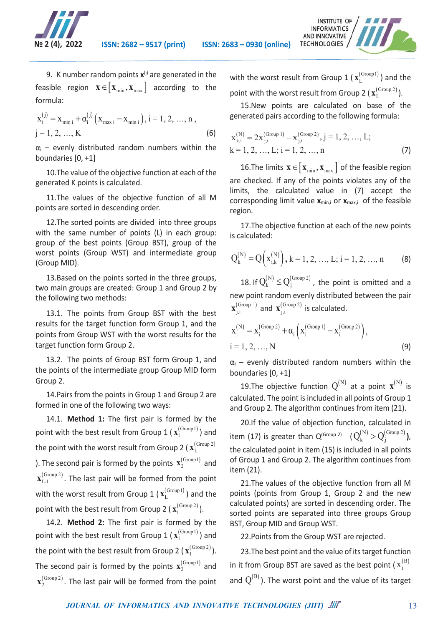



$$
x_i^{(j)} = x_{\min i} + \alpha_i^{(j)} (x_{\max i} - x_{\min i}), i = 1, 2, ..., n,
$$
  
j = 1, 2, ..., K (6)

 $\alpha_i$  – evenly distributed random numbers within the boundaries [0, +1]

10.The value of the objective function at each of the generated K points is calculated.

11.The values of the objective function of all M points are sorted in descending order.

12.The sorted points are divided into three groups with the same number of points (L) in each group: group of the best points (Group BST), group of the worst points (Group WST) and intermediate group (Group MID).

13.Based on the points sorted in the three groups, two main groups are created: Group 1 and Group 2 by the following two methods:

13.1. The points from Group BST with the best results for the target function form Group 1, and the points from Group WST with the worst results for the target function form Group 2.

13.2. The points of Group BST form Group 1, and the points of the intermediate group Group MID form Group 2.

14.Pairs from the points in Group 1 and Group 2 are formed in one of the following two ways:

14.1. **Method 1:** The first pair is formed by the point with the best result from Group 1 ( $\mathbf{x}_1^{\text{(Group1)}}$ ) and the point with the worst result from Group 2 (  $\mathbf{x}_{\text{L}}^{(\text{Group 2})}$ ). The second pair is formed by the points  $\mathbf{x}_2^{\text{(Group1)}}$  and  $\mathbf{x}_{\text{L-1}}^{\text{(Group 2)}}$ . The last pair will be formed from the point with the worst result from Group 1 ( $\mathbf{x}_{\text{L}}^{(\text{Group1})}$ ) and the point with the best result from Group 2 (  $\mathbf{x}_1^{\text{(Group 2)}}$  ).

14.2. **Method 2:** The first pair is formed by the point with the best result from Group 1 ( $\mathbf{x}_1^{\text{(Group1)}}$ ) and the point with the best result from Group 2  $(\mathbf{x}_1^{\text{(Group 2)}}).$ The second pair is formed by the points  $\mathbf{x}_2^{\text{(Group1)}}$  and  $\mathbf{x}_2^{\text{(Group 2)}}$ . The last pair will be formed from the point with the worst result from Group 1 ( $\mathbf{x}_{\text{L}}^{(\text{Group1})}$ ) and the point with the worst result from Group 2 ( $\mathbf{x}_{\text{L}}^{\text{(Group 2)}}$ ).

15.New points are calculated on base of the generated pairs according to the following formula:

$$
x_{k,i}^{(N)} = 2x_{j,i}^{(Group\ 1)} - x_{j,i}^{(Group\ 2)}, j = 1, 2, ..., L; k = 1, 2, ..., L; i = 1, 2, ..., n
$$
 (7)

16. The limits  $\mathbf{x} \in [\mathbf{x}_{\min}, \mathbf{x}_{\max}]$  of the feasible region are checked. If any of the points violates any of the limits, the calculated value in (7) accept the corresponding limit value **x**min,i or **x**max,i of the feasible region.

17.The objective function at each of the new points is calculated:

$$
Q_k^{(N)} = Q\left(x_{i,k}^{(N)}\right), k = 1, 2, ..., L; i = 1, 2, ..., n
$$
 (8)

18. If  $Q_k^{(N)} \leq Q_i^{(\text{Group } 2)}$ , the point is omitted and a new point random evenly distributed between the pair  $\mathbf{x}_{j,i}^{\text{(Group 1)}}$  and  $\mathbf{x}_{j,i}^{\text{(Group 2)}}$  is calculated.

$$
x_i^{(N)} = x_i^{(\text{Group 2})} + \alpha_i \left( x_i^{(\text{Group 1})} - x_i^{(\text{Group 2})} \right),
$$
  
i = 1, 2, ..., N (9)

 $\alpha_i$  – evenly distributed random numbers within the boundaries [0, +1]

19.The objective function  $Q^{(N)}$  at a point  $\mathbf{x}^{(N)}$  is calculated. The point is included in all points of Group 1 and Group 2. The algorithm continues from item (21).

20.If the value of objection function, calculated in item (17) is greater than  $Q^{(\text{Group 2})}$   $(Q_k^{(N)} > Q_i^{(\text{Group 2})}),$ the calculated point in item (15) is included in all points of Group 1 and Group 2. The algorithm continues from item (21).

21.The values of the objective function from all M points (points from Group 1, Group 2 and the new calculated points) are sorted in descending order. The sorted points are separated into three groups Group BST, Group MID and Group WST.

22.Points from the Group WST are rejected.

23.The best point and the value of its target function in it from Group BST are saved as the best point ( $\mathbf{x}_i^{(\text{B})}$ and  $Q^{(B)}$ ). The worst point and the value of its target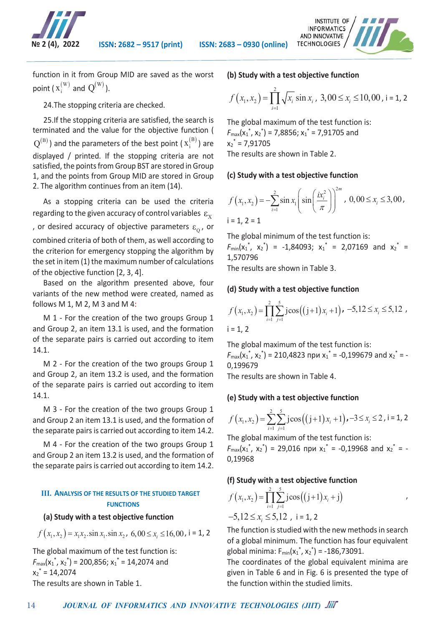



function in it from Group MID are saved as the worst point (  $x_i^{(W)}$  and  $Q^{(W)}$  ).

24.The stopping criteria are checked.

25.If the stopping criteria are satisfied, the search is terminated and the value for the objective function (  $Q^{(B)}$ ) and the parameters of the best point ( $x_i^{(B)}$ ) are displayed / printed. If the stopping criteria are not satisfied, the points from Group BST are stored in Group 1, and the points from Group MID are stored in Group 2. The algorithm continues from an item (14).

As a stopping criteria can be used the criteria regarding to the given accuracy of control variables  $\varepsilon_{\rm x}$ , or desired accuracy of objective parameters  $\varepsilon_{0}$ , or combined criteria of both of them, as well according to the criterion for emergency stopping the algorithm by the set in item (1) the maximum number of calculations of the objective function [2, 3, 4].

Based on the algorithm presented above, four variants of the new method were created, named as follows M 1, M 2, M 3 and M 4:

M 1 - For the creation of the two groups Group 1 and Group 2, an item 13.1 is used, and the formation of the separate pairs is carried out according to item 14.1.

M 2 - For the creation of the two groups Group 1 and Group 2, an item 13.2 is used, and the formation of the separate pairs is carried out according to item 14.1.

M 3 - For the creation of the two groups Group 1 and Group 2 an item 13.1 is used, and the formation of the separate pairs is carried out according to item 14.2.

M 4 - For the creation of the two groups Group 1 and Group 2 an item 13.2 is used, and the formation of the separate pairs is carried out according to item 14.2.

# **III. ANALYSIS OF THE RESULTS OF THE STUDIED TARGET FUNCTIONS**

#### **(a) Study with a test objective function**

$$
f(x_1, x_2) = x_1 x_2 \cdot \sin x_1 \cdot \sin x_2, \ 6,00 \le x_i \le 16,00, \ i = 1, 2
$$

The global maximum of the test function is:  $F_{\text{max}}(x_1^*, x_2^*)$  = 200,856;  $x_1^*$  = 14,2074 and  $x_2^* = 14,2074$ The results are shown in Table 1.

# **(b) Study with a test objective function**

$$
f(x_1, x_2) = \prod_{i=1}^{2} \sqrt{x_i} \sin x_i, \ 3,00 \le x_i \le 10,00, \ i = 1, 2
$$

The global maximum of the test function is:  $F_{\text{max}}(x_1^*, x_2^*)$  = 7,8856;  $x_1^*$  = 7,91705 and  $x_2^* = 7,91705$ 

The results are shown in Table 2.

# **(c) Study with a test objective function**

$$
f(x_1, x_2) = -\sum_{i=1}^{2} \sin x_i \left( \sin \left( \frac{i x_i^2}{\pi} \right) \right)^{2m}, \ 0,00 \le x_i \le 3,00,
$$
  
i = 1, 2 = 1

The global minimum of the test function is:  $F_{min}(x_1^*, x_2^*)$  = -1,84093;  $x_1^*$  = 2,07169 and  $x_2^*$  = 1,570796

The results are shown in Table 3.

# **(d) Study with a test objective function**

$$
f(x_1, x_2) = \prod_{i=1}^{2} \sum_{j=1}^{5} j \cos((j+1)x_i + 1) \cdot -5, 12 \le x_i \le 5, 12
$$
  
i = 1, 2

The global maximum of the test function is:  $F_{\text{max}}(x_1^*, x_2^*)$  = 210,4823 при  $x_1^*$  = -0,199679 and  $x_2^*$  = -0,199679

The results are shown in Table 4.

# **(e) Study with a test objective function**

$$
f(x_1, x_2) = \sum_{i=1}^{2} \sum_{j=1}^{5} j \cos((j+1)x_i + 1) \cdot (-3 \le x_i \le 2, i = 1, 2)
$$

The global maximum of the test function is:  $F_{\text{max}}(x_1^*, x_2^*)$  = 29,016 при  $x_1^*$  = -0,19968 and  $x_2^*$  = -0,19968

# **(f) Study with a test objective function**

$$
f(x_1, x_2) = \prod_{i=1}^{2} \sum_{j=1}^{5} j \cos((j+1)x_i + j)
$$
  
-5, 12 \le x<sub>i</sub> \le 5, 12 , i = 1, 2

The function is studied with the new methods in search of a global minimum. The function has four equivalent global minima:  $F_{min}(x_1^*, x_2^*) = -186,73091.$ 

The coordinates of the global equivalent minima are given in Table 6 and in Fig. 6 is presented the type of the function within the studied limits.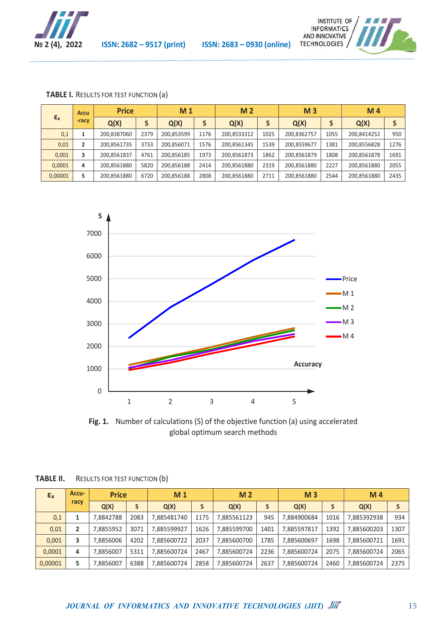



|  |  |  | <b>TABLE I.</b> RESULTS FOR TEST FUNCTION (a) |  |  |
|--|--|--|-----------------------------------------------|--|--|
|--|--|--|-----------------------------------------------|--|--|

|                | <b>Accu</b>    | <b>Price</b> |      | M <sub>1</sub> |      | M <sub>2</sub> |      | M <sub>3</sub> |      | M <sub>4</sub> |      |
|----------------|----------------|--------------|------|----------------|------|----------------|------|----------------|------|----------------|------|
| $\epsilon_{x}$ | -racv          | Q(X)         | S    | Q(X)           |      | Q(X)           | S    | Q(X)           |      | Q(X)           |      |
| 0,1            |                | 200.8387060  | 2379 | 200.853599     | 1176 | 200,8533312    | 1025 | 200,8362757    | 1055 | 200,8414252    | 950  |
| 0,01           | $\overline{2}$ | 200,8561735  | 3733 | 200,856071     | 1576 | 200,8561345    | 1539 | 200,8559677    | 1381 | 200,8556828    | 1276 |
| 0.001          | 3              | 200.8561837  | 4761 | 200.856185     | 1973 | 200,8561873    | 1862 | 200.8561879    | 1808 | 200,8561878    | 1691 |
| 0.0001         | 4              | 200.8561880  | 5820 | 200.856188     | 2414 | 200,8561880    | 2319 | 200.8561880    | 2227 | 200,8561880    | 2055 |
| 0,00001        | 5              | 200.8561880  | 6720 | 200.856188     | 2808 | 200,8561880    | 2711 | 200.8561880    | 2544 | 200,8561880    | 2435 |



**Fig. 1.** Number of calculations (S) of the objective function (a) using accelerated global optimum search methods

| $\epsilon_{x}$ | <b>Accu-</b> | <b>Price</b> |      | M <sub>1</sub> |      | M <sub>2</sub> |      | M <sub>3</sub> |      | M <sub>4</sub> |      |
|----------------|--------------|--------------|------|----------------|------|----------------|------|----------------|------|----------------|------|
|                | racy         | Q(X)         |      | Q(X)           |      | Q(X)           | S    | Q(X)           |      | Q(X)           |      |
| 0,1            |              | 7.8842788    | 2083 | 7.885481740    | 1175 | 7.885561123    | 945  | 7.884900684    | 1016 | 7,885392938    | 934  |
| 0,01           | 2            | 7.8855952    | 3071 | 7.885599927    | 1626 | 7.885599700    | 1401 | 7,885597817    | 1392 | 7.885600203    | 1307 |
| 0,001          | 3            | 7.8856006    | 4202 | 7,885600722    | 2037 | 7.885600700    | 1785 | 7,885600697    | 1698 | 7,885600721    | 1691 |
| 0.0001         | 4            | 7.8856007    | 5311 | 7,885600724    | 2467 | 7.885600724    | 2236 | 7,885600724    | 2075 | 7.885600724    | 2065 |
| 0,00001        | 5            | 7.8856007    | 6388 | 7.885600724    | 2858 | 7.885600724    | 2637 | 7.885600724    | 2460 | 7.885600724    | 2375 |

| TABLE II. | RESULTS FOR TEST FUNCTION (b) |  |
|-----------|-------------------------------|--|
|-----------|-------------------------------|--|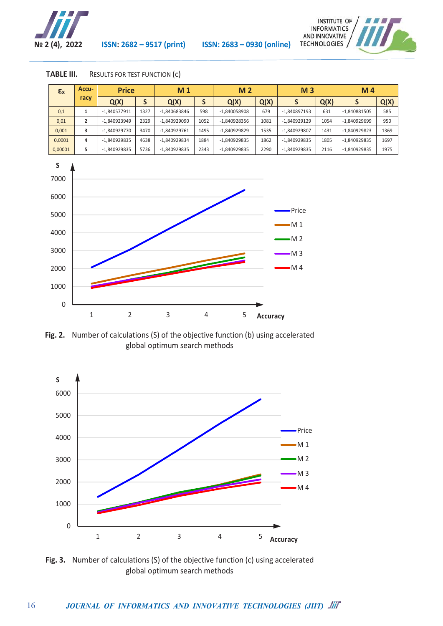

16

**№ 2 (4), 2022 ISSN: 2682 – 9517 (print) ISSN: 2683 – 0930 (online)**



| TABLE III. | RESULTS FOR TEST FUNCTION (C) |  |  |
|------------|-------------------------------|--|--|
|------------|-------------------------------|--|--|

| $\epsilon_{x}$ | Accu- | <b>Price</b><br>Q(X)<br>э |      | M <sub>1</sub> |      | M <sub>2</sub> |      |                |      | M <sub>4</sub> |      |
|----------------|-------|---------------------------|------|----------------|------|----------------|------|----------------|------|----------------|------|
|                | racy  |                           |      | Q(X)           |      | Q(X)           | Q(X) |                | Q(X) |                | Q(X) |
| 0,1            |       | $-1.840577911$            | 1327 | -1.840683846   | 598  | -1.840058908   | 679  | -1.840897193   | 631  | -1,840881505   | 585  |
| 0,01           |       | -1.840923949              | 2329 | $-1.840929090$ | 1052 | -1,840928356   | 1081 | $-1.840929129$ | 1054 | -1,840929699   | 950  |
| 0.001          | 3     | -1.840929770              | 3470 | $-1.840929761$ | 1495 | -1,840929829   | 1535 | -1.840929807   | 1431 | -1,840929823   | 1369 |
| 0.0001         | 4     | $-1.840929835$            | 4638 | -1,840929834   | 1884 | $-1.840929835$ | 1862 | $-1.840929835$ | 1805 | -1.840929835   | 1697 |
| 0,00001        | 5     | -1.840929835              | 5736 | -1,840929835   | 2343 | -1,840929835   | 2290 | -1.840929835   | 2116 | -1,840929835   | 1975 |



**Fig. 2.** Number of calculations (S) of the objective function (b) using accelerated global optimum search methods



**Fig. 3.** Number of calculations (S) of the objective function (c) using accelerated global optimum search methods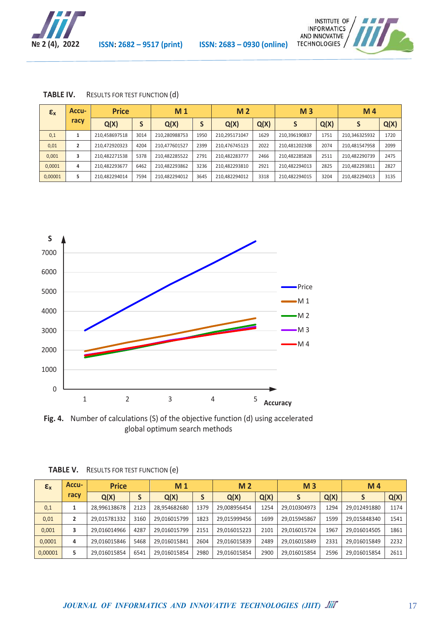



| TABLE IV. | RESULTS FOR TEST FUNCTION (d) |  |
|-----------|-------------------------------|--|
|-----------|-------------------------------|--|

| $\epsilon_{x}$ | <b>Accu-</b> | <b>Price</b>  |      | M <sub>1</sub> |      |               | M <sub>2</sub> |               |      | M <sub>4</sub> |      |
|----------------|--------------|---------------|------|----------------|------|---------------|----------------|---------------|------|----------------|------|
|                | racy         | Q(X)          |      | Q(X)           |      | Q(X)          | Q(X)           |               | Q(X) |                | Q(X) |
| 0,1            |              | 210.458697518 | 3014 | 210.280988753  | 1950 | 210.295171047 | 1629           | 210.396190837 | 1751 | 210.346325932  | 1720 |
| 0,01           | 2            | 210,472920323 | 4204 | 210.477601527  | 2399 | 210.476745123 | 2022           | 210.481202308 | 2074 | 210.481547958  | 2099 |
| 0,001          | 3            | 210.482271538 | 5378 | 210,482285522  | 2791 | 210.482283777 | 2466           | 210.482285828 | 2511 | 210.482290739  | 2475 |
| 0,0001         | 4            | 210,482293677 | 6462 | 210,482293862  | 3236 | 210,482293810 | 2921           | 210,482294013 | 2825 | 210,482293811  | 2827 |
| 0,00001        | 5.           | 210,482294014 | 7594 | 210,482294012  | 3645 | 210.482294012 | 3318           | 210.482294015 | 3204 | 210,482294013  | 3135 |



**Fig. 4.** Number of calculations (S) of the objective function (d) using accelerated global optimum search methods

| $\epsilon_{x}$ | <b>Accu-</b> | <b>Price</b><br>Q(X) |      | M <sub>1</sub> |      | M <sub>2</sub> |      | M <sub>3</sub> |      | M <sub>4</sub> |      |
|----------------|--------------|----------------------|------|----------------|------|----------------|------|----------------|------|----------------|------|
|                | racy         |                      |      | Q(X)           |      | Q(X)           | Q(X) |                | Q(X) | S              | Q(X) |
| 0,1            |              | 28,996138678         | 2123 | 28,954682680   | 1379 | 29,008956454   | 1254 | 29,010304973   | 1294 | 29,012491880   | 1174 |
| 0,01           | 2            | 29.015781332         | 3160 | 29.016015799   | 1823 | 29.015999456   | 1699 | 29.015945867   | 1599 | 29,015848340   | 1541 |
| 0,001          | 3            | 29.016014966         | 4287 | 29,016015799   | 2151 | 29,016015223   | 2101 | 29,016015724   | 1967 | 29,016014505   | 1861 |
| 0,0001         | 4            | 29,016015846         | 5468 | 29,016015841   | 2604 | 29,016015839   | 2489 | 29,016015849   | 2331 | 29,016015849   | 2232 |
| 0,00001        | 5            | 29.016015854         | 6541 | 29,016015854   | 2980 | 29.016015854   | 2900 | 29.016015854   | 2596 | 29,016015854   | 2611 |

| <b>TABLE V.</b> | RESULTS FOR TEST FUNCTION (e) |  |  |
|-----------------|-------------------------------|--|--|
|-----------------|-------------------------------|--|--|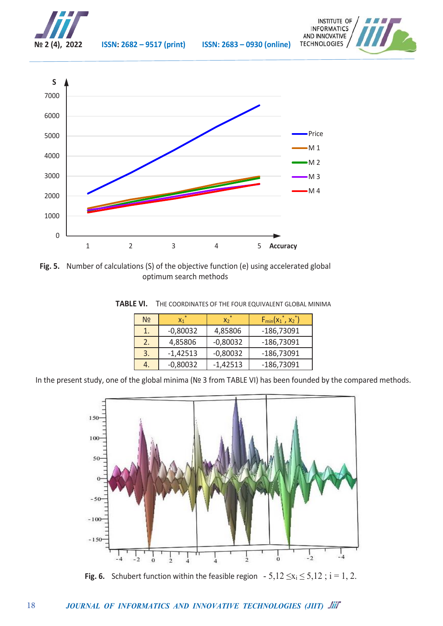

18





**Fig. 5.** Number of calculations (S) of the objective function (e) using accelerated global optimum search methods

|    |          |         | <b>TABLE VI.</b> THE COORDINATES OF THE FOUR EQUIVALENT GLOBAL MINIMA |  |
|----|----------|---------|-----------------------------------------------------------------------|--|
| No |          |         | $F_{min}(x_1^*, x_2^*)$                                               |  |
|    | -0.80032 | 4,85806 | -186,73091                                                            |  |

 $2. | 4,85806 | -0,80032 | -186,73091$  $\overline{3.}$  -1,42513 -0,80032 -186,73091

4. 0,80032 -1,42513 -186,73091 In the present study, one of the global minima (№ 3 from TABLE VI) has been founded by the compared methods.



**Fig. 6.** Schubert function within the feasible region  $-5.12 \le x_i \le 5.12$ ;  $i = 1, 2$ .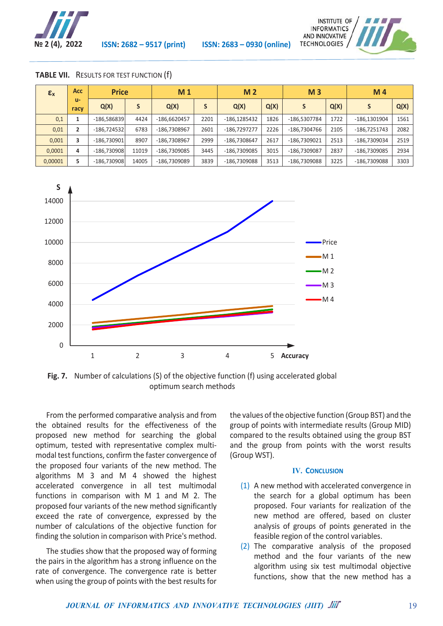



| $\epsilon_{x}$ | Acc:           | <b>Price</b>  |       | M <sub>1</sub> |      |                | M <sub>2</sub> |              |      | M <sub>4</sub> |      |
|----------------|----------------|---------------|-------|----------------|------|----------------|----------------|--------------|------|----------------|------|
|                | $u -$<br>racy  | Q(X)          | S     | Q(X)           |      | Q(X)           | Q(X)           |              | Q(X) | S              | Q(X) |
| 0,1            |                | $-186.586839$ | 4424  | -186.6620457   | 2201 | $-186.1285432$ | 1826           | -186.5307784 | 1722 | -186.1301904   | 1561 |
| 0,01           | $\overline{2}$ | $-186.724532$ | 6783  | -186.7308967   | 2601 | -186.7297277   | 2226           | -186.7304766 | 2105 | -186,7251743   | 2082 |
| 0.001          | 3              | $-186.730901$ | 8907  | -186.7308967   | 2999 | -186.7308647   | 2617           | -186.7309021 | 2513 | -186,7309034   | 2519 |
| 0,0001         | 4              | $-186.730908$ | 11019 | -186.7309085   | 3445 | -186.7309085   | 3015           | -186.7309087 | 2837 | -186.7309085   | 2934 |
| 0,00001        | 5              | $-186.730908$ | 14005 | -186.7309089   | 3839 | -186.7309088   | 3513           | -186.7309088 | 3225 | -186.7309088   | 3303 |

#### **TABLE VII.** RESULTS FOR TEST FUNCTION (f)



**Fig. 7.** Number of calculations (S) of the objective function (f) using accelerated global optimum search methods

From the performed comparative analysis and from the obtained results for the effectiveness of the proposed new method for searching the global optimum, tested with representative complex multimodal test functions, confirm the faster convergence of the proposed four variants of the new method. The algorithms M 3 and M 4 showed the highest accelerated convergence in all test multimodal functions in comparison with M 1 and M 2. The proposed four variants of the new method significantly exceed the rate of convergence, expressed by the number of calculations of the objective function for finding the solution in comparison with Price's method.

The studies show that the proposed way of forming the pairs in the algorithm has a strong influence on the rate of convergence. The convergence rate is better when using the group of points with the best results for

the values of the objective function (Group BST) and the group of points with intermediate results (Group MID) compared to the results obtained using the group BST and the group from points with the worst results (Group WST).

#### **IV. CONCLUSION**

- (1) A new method with accelerated convergence in the search for a global optimum has been proposed. Four variants for realization of the new method are offered, based on cluster analysis of groups of points generated in the feasible region of the control variables.
- (2) The comparative analysis of the proposed method and the four variants of the new algorithm using six test multimodal objective functions, show that the new method has a